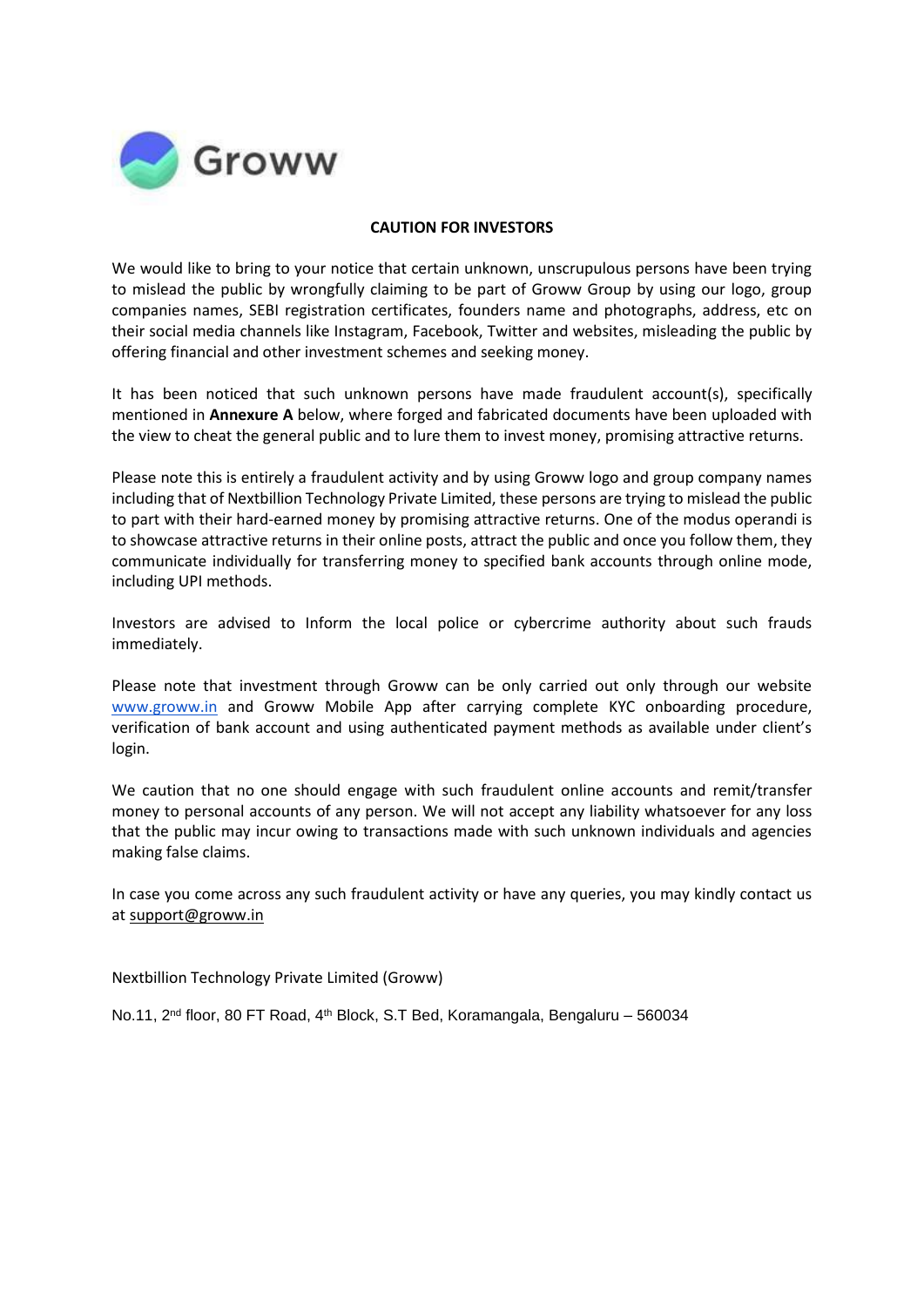

## **CAUTION FOR INVESTORS**

We would like to bring to your notice that certain unknown, unscrupulous persons have been trying to mislead the public by wrongfully claiming to be part of Groww Group by using our logo, group companies names, SEBI registration certificates, founders name and photographs, address, etc on their social media channels like Instagram, Facebook, Twitter and websites, misleading the public by offering financial and other investment schemes and seeking money.

It has been noticed that such unknown persons have made fraudulent account(s), specifically mentioned in **Annexure A** below, where forged and fabricated documents have been uploaded with the view to cheat the general public and to lure them to invest money, promising attractive returns.

Please note this is entirely a fraudulent activity and by using Groww logo and group company names including that of Nextbillion Technology Private Limited, these persons are trying to mislead the public to part with their hard-earned money by promising attractive returns. One of the modus operandi is to showcase attractive returns in their online posts, attract the public and once you follow them, they communicate individually for transferring money to specified bank accounts through online mode, including UPI methods.

Investors are advised to Inform the local police or cybercrime authority about such frauds immediately.

Please note that investment through Groww can be only carried out only through our website [www.groww.in](http://www.groww.in/) and Groww Mobile App after carrying complete KYC onboarding procedure, verification of bank account and using authenticated payment methods as available under client's login.

We caution that no one should engage with such fraudulent online accounts and remit/transfer money to personal accounts of any person. We will not accept any liability whatsoever for any loss that the public may incur owing to transactions made with such unknown individuals and agencies making false claims.

In case you come across any such fraudulent activity or have any queries, you may kindly contact us a[t support@groww.in](mailto:support@groww.in)

Nextbillion Technology Private Limited (Groww)

No.11, 2<sup>nd</sup> floor, 80 FT Road, 4<sup>th</sup> Block, S.T Bed, Koramangala, Bengaluru – 560034